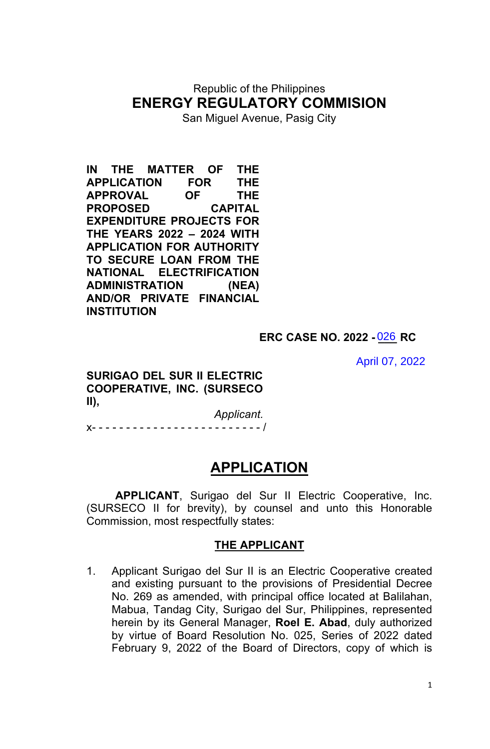## Republic of the Philippines **ENERGY REGULATORY COMMISION**

San Miguel Avenue, Pasig City

**IN THE MATTER OF THE APPLICATION FOR THE APPROVAL OF THE PROPOSED CAPITAL EXPENDITURE PROJECTS FOR THE YEARS 2022 – 2024 WITH APPLICATION FOR AUTHORITY TO SECURE LOAN FROM THE NATIONAL ELECTRIFICATION ADMINISTRATION (NEA) AND/OR PRIVATE FINANCIAL INSTITUTION**

#### **ERC CASE NO. 2022 - \_\_\_ RC** 026

April 07, 2022

**SURIGAO DEL SUR II ELECTRIC COOPERATIVE, INC. (SURSECO II),**

 *Applicant.* x- - - - - - - - - - - - - - - - - - - - - - - - - /

## **APPLICATION**

**APPLICANT**, Surigao del Sur II Electric Cooperative, Inc. (SURSECO II for brevity), by counsel and unto this Honorable Commission, most respectfully states:

#### **THE APPLICANT**

1. Applicant Surigao del Sur II is an Electric Cooperative created and existing pursuant to the provisions of Presidential Decree No. 269 as amended, with principal office located at Balilahan, Mabua, Tandag City, Surigao del Sur, Philippines, represented herein by its General Manager, **Roel E. Abad**, duly authorized by virtue of Board Resolution No. 025, Series of 2022 dated February 9, 2022 of the Board of Directors, copy of which is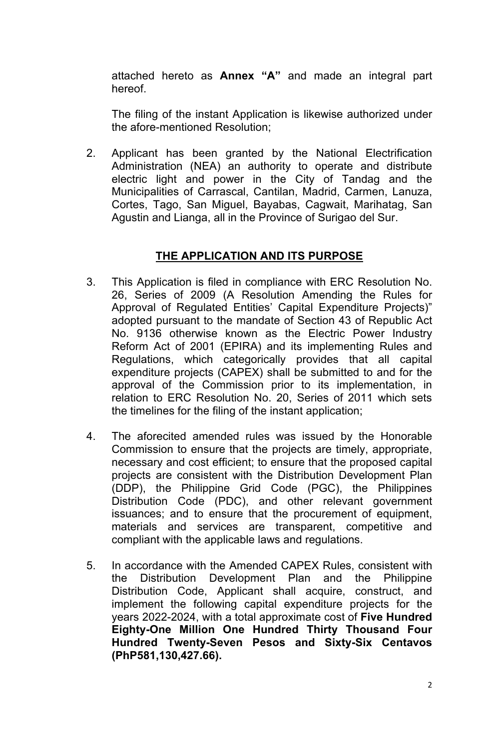attached hereto as **Annex "A"** and made an integral part hereof.

The filing of the instant Application is likewise authorized under the afore-mentioned Resolution;

2. Applicant has been granted by the National Electrification Administration (NEA) an authority to operate and distribute electric light and power in the City of Tandag and the Municipalities of Carrascal, Cantilan, Madrid, Carmen, Lanuza, Cortes, Tago, San Miguel, Bayabas, Cagwait, Marihatag, San Agustin and Lianga, all in the Province of Surigao del Sur.

### **THE APPLICATION AND ITS PURPOSE**

- 3. This Application is filed in compliance with ERC Resolution No. 26, Series of 2009 (A Resolution Amending the Rules for Approval of Regulated Entities' Capital Expenditure Projects)" adopted pursuant to the mandate of Section 43 of Republic Act No. 9136 otherwise known as the Electric Power Industry Reform Act of 2001 (EPIRA) and its implementing Rules and Regulations, which categorically provides that all capital expenditure projects (CAPEX) shall be submitted to and for the approval of the Commission prior to its implementation, in relation to ERC Resolution No. 20, Series of 2011 which sets the timelines for the filing of the instant application;
- 4. The aforecited amended rules was issued by the Honorable Commission to ensure that the projects are timely, appropriate, necessary and cost efficient; to ensure that the proposed capital projects are consistent with the Distribution Development Plan (DDP), the Philippine Grid Code (PGC), the Philippines Distribution Code (PDC), and other relevant government issuances; and to ensure that the procurement of equipment, materials and services are transparent, competitive and compliant with the applicable laws and regulations.
- 5. In accordance with the Amended CAPEX Rules, consistent with the Distribution Development Plan and the Philippine Distribution Code, Applicant shall acquire, construct, and implement the following capital expenditure projects for the years 2022-2024, with a total approximate cost of **Five Hundred Eighty-One Million One Hundred Thirty Thousand Four Hundred Twenty-Seven Pesos and Sixty-Six Centavos (PhP581,130,427.66).**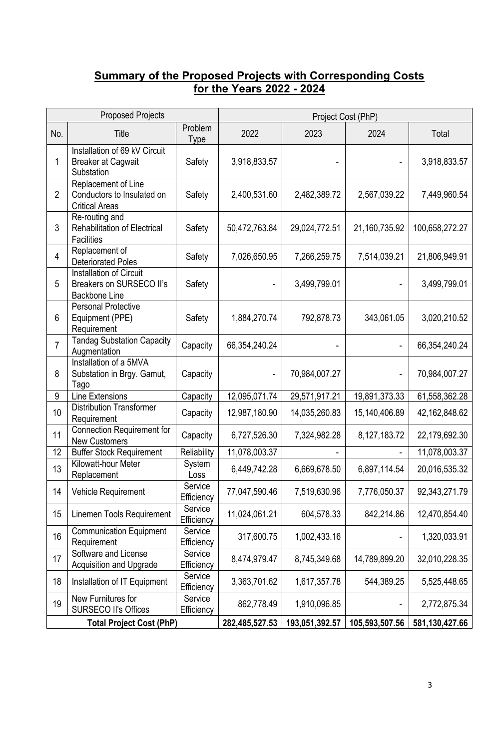#### **Summary of the Proposed Projects with Corresponding Costs for the Years 2022 - 2024**

| <b>Proposed Projects</b> |                                                                             |                       | Project Cost (PhP) |                |                          |                |  |
|--------------------------|-----------------------------------------------------------------------------|-----------------------|--------------------|----------------|--------------------------|----------------|--|
| No.                      | Title                                                                       | Problem<br>Type       | 2022               | 2023           | 2024                     | Total          |  |
| 1                        | Installation of 69 kV Circuit<br><b>Breaker at Cagwait</b><br>Substation    | Safety                | 3,918,833.57       |                | $\overline{\phantom{a}}$ | 3,918,833.57   |  |
| $\overline{2}$           | Replacement of Line<br>Conductors to Insulated on<br><b>Critical Areas</b>  | Safety                | 2,400,531.60       | 2,482,389.72   | 2,567,039.22             | 7,449,960.54   |  |
| 3                        | Re-routing and<br><b>Rehabilitation of Electrical</b><br><b>Facilities</b>  | Safety                | 50,472,763.84      | 29,024,772.51  | 21,160,735.92            | 100,658,272.27 |  |
| $\overline{4}$           | Replacement of<br><b>Deteriorated Poles</b>                                 | Safety                | 7,026,650.95       | 7,266,259.75   | 7,514,039.21             | 21,806,949.91  |  |
| 5                        | Installation of Circuit<br>Breakers on SURSECO II's<br><b>Backbone Line</b> | Safety                |                    | 3,499,799.01   |                          | 3,499,799.01   |  |
| 6                        | <b>Personal Protective</b><br>Equipment (PPE)<br>Requirement                | Safety                | 1,884,270.74       | 792,878.73     | 343,061.05               | 3,020,210.52   |  |
| $\overline{7}$           | <b>Tandag Substation Capacity</b><br>Augmentation                           | Capacity              | 66,354,240.24      |                |                          | 66,354,240.24  |  |
| 8                        | Installation of a 5MVA<br>Substation in Brgy. Gamut,<br>Tago                | Capacity              |                    | 70,984,007.27  | $\overline{\phantom{0}}$ | 70,984,007.27  |  |
| 9                        | <b>Line Extensions</b>                                                      | Capacity              | 12,095,071.74      | 29,571,917.21  | 19,891,373.33            | 61,558,362.28  |  |
| 10                       | <b>Distribution Transformer</b><br>Requirement                              | Capacity              | 12,987,180.90      | 14,035,260.83  | 15,140,406.89            | 42,162,848.62  |  |
| 11                       | <b>Connection Requirement for</b><br><b>New Customers</b>                   | Capacity              | 6,727,526.30       | 7,324,982.28   | 8,127,183.72             | 22,179,692.30  |  |
| 12                       | <b>Buffer Stock Requirement</b>                                             | Reliability           | 11,078,003.37      |                |                          | 11,078,003.37  |  |
| 13                       | Kilowatt-hour Meter<br>Replacement                                          | System<br>Loss        | 6,449,742.28       | 6,669,678.50   | 6,897,114.54             | 20,016,535.32  |  |
| 14                       | Vehicle Requirement                                                         | Service<br>Efficiency | 77,047,590.46      | 7,519,630.96   | 7,776,050.37             | 92,343,271.79  |  |
| 15                       | Linemen Tools Requirement                                                   | Service<br>Efficiency | 11,024,061.21      | 604,578.33     | 842,214.86               | 12,470,854.40  |  |
| 16                       | <b>Communication Equipment</b><br>Requirement                               | Service<br>Efficiency | 317,600.75         | 1,002,433.16   |                          | 1,320,033.91   |  |
| 17                       | Software and License<br><b>Acquisition and Upgrade</b>                      | Service<br>Efficiency | 8,474,979.47       | 8,745,349.68   | 14,789,899.20            | 32,010,228.35  |  |
| 18                       | Installation of IT Equipment                                                | Service<br>Efficiency | 3,363,701.62       | 1,617,357.78   | 544,389.25               | 5,525,448.65   |  |
| 19                       | New Furnitures for<br><b>SURSECO II's Offices</b>                           | Service<br>Efficiency | 862,778.49         | 1,910,096.85   |                          | 2,772,875.34   |  |
|                          | <b>Total Project Cost (PhP)</b>                                             |                       | 282,485,527.53     | 193,051,392.57 | 105,593,507.56           | 581,130,427.66 |  |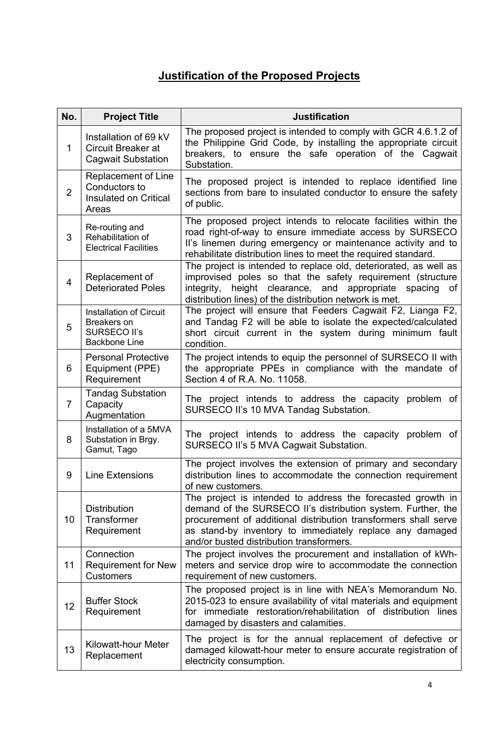## **Justification of the Proposed Projects**

| No.            | <b>Project Title</b>                                                                         | <b>Justification</b>                                                                                                                                                                                                                                                                                   |  |  |
|----------------|----------------------------------------------------------------------------------------------|--------------------------------------------------------------------------------------------------------------------------------------------------------------------------------------------------------------------------------------------------------------------------------------------------------|--|--|
| $\mathbf{1}$   | Installation of 69 kV<br>Circuit Breaker at<br><b>Cagwait Substation</b>                     | The proposed project is intended to comply with GCR 4.6.1.2 of<br>the Philippine Grid Code, by installing the appropriate circuit<br>breakers, to ensure the safe operation of the Cagwait<br>Substation.                                                                                              |  |  |
| $\overline{2}$ | Replacement of Line<br>Conductors to<br>Insulated on Critical<br>Areas                       | The proposed project is intended to replace identified line<br>sections from bare to insulated conductor to ensure the safety<br>of public.                                                                                                                                                            |  |  |
| 3              | Re-routing and<br>Rehabilitation of<br><b>Electrical Facilities</b>                          | The proposed project intends to relocate facilities within the<br>road right-of-way to ensure immediate access by SURSECO<br>II's linemen during emergency or maintenance activity and to<br>rehabilitate distribution lines to meet the required standard.                                            |  |  |
| $\overline{4}$ | Replacement of<br><b>Deteriorated Poles</b>                                                  | The project is intended to replace old, deteriorated, as well as<br>improvised poles so that the safety requirement (structure<br>integrity, height clearance, and appropriate spacing<br>0f<br>distribution lines) of the distribution network is met.                                                |  |  |
| 5              | <b>Installation of Circuit</b><br>Breakers on<br><b>SURSECO II's</b><br><b>Backbone Line</b> | The project will ensure that Feeders Cagwait F2, Lianga F2,<br>and Tandag F2 will be able to isolate the expected/calculated<br>short circuit current in the system during minimum fault<br>condition.                                                                                                 |  |  |
| 6              | <b>Personal Protective</b><br>Equipment (PPE)<br>Requirement                                 | The project intends to equip the personnel of SURSECO II with<br>the appropriate PPEs in compliance with the mandate of<br>Section 4 of R.A. No. 11058.                                                                                                                                                |  |  |
| $\overline{7}$ | <b>Tandag Substation</b><br>Capacity<br>Augmentation                                         | The project intends to address the capacity problem of<br>SURSECO II's 10 MVA Tandag Substation.                                                                                                                                                                                                       |  |  |
| 8              | Installation of a 5MVA<br>Substation in Brgy.<br>Gamut, Tago                                 | The project intends to address the capacity problem of<br>SURSECO II's 5 MVA Cagwait Substation.                                                                                                                                                                                                       |  |  |
| 9              | Line Extensions                                                                              | The project involves the extension of primary and secondary<br>distribution lines to accommodate the connection requirement<br>of new customers.                                                                                                                                                       |  |  |
| 10             | <b>Distribution</b><br>Transformer<br>Requirement                                            | The project is intended to address the forecasted growth in<br>demand of the SURSECO II's distribution system. Further, the<br>procurement of additional distribution transformers shall serve<br>as stand-by inventory to immediately replace any damaged<br>and/or busted distribution transformers. |  |  |
| 11             | Connection<br><b>Requirement for New</b><br><b>Customers</b>                                 | The project involves the procurement and installation of kWh-<br>meters and service drop wire to accommodate the connection<br>requirement of new customers.                                                                                                                                           |  |  |
| 12             | <b>Buffer Stock</b><br>Requirement                                                           | The proposed project is in line with NEA's Memorandum No.<br>2015-023 to ensure availability of vital materials and equipment<br>for immediate restoration/rehabilitation of distribution lines<br>damaged by disasters and calamities.                                                                |  |  |
| 13             | Kilowatt-hour Meter<br>Replacement                                                           | The project is for the annual replacement of defective or<br>damaged kilowatt-hour meter to ensure accurate registration of<br>electricity consumption.                                                                                                                                                |  |  |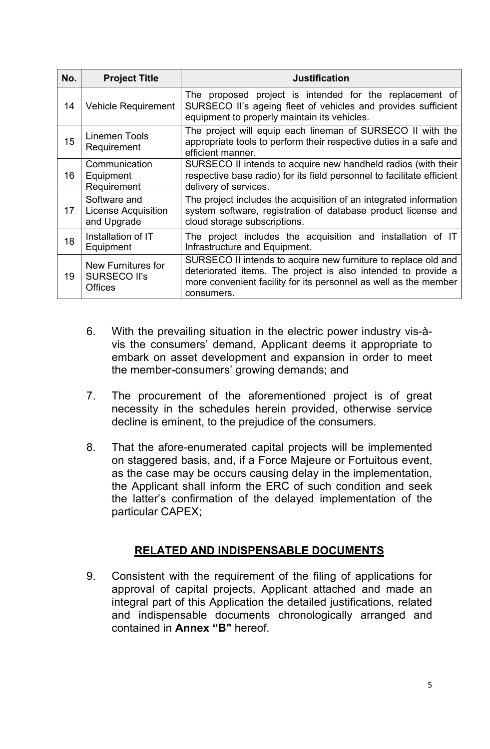| No. | <b>Project Title</b>                                        | <b>Justification</b>                                                                                                                                                                                              |
|-----|-------------------------------------------------------------|-------------------------------------------------------------------------------------------------------------------------------------------------------------------------------------------------------------------|
| 14  | <b>Vehicle Requirement</b>                                  | The proposed project is intended for the replacement of<br>SURSECO II's ageing fleet of vehicles and provides sufficient<br>equipment to properly maintain its vehicles.                                          |
| 15  | <b>Linemen Tools</b><br>Requirement                         | The project will equip each lineman of SURSECO II with the<br>appropriate tools to perform their respective duties in a safe and<br>efficient manner.                                                             |
| 16  | Communication<br>Equipment<br>Requirement                   | SURSECO II intends to acquire new handheld radios (with their<br>respective base radio) for its field personnel to facilitate efficient<br>delivery of services.                                                  |
| 17  | Software and<br><b>License Acquisition</b><br>and Upgrade   | The project includes the acquisition of an integrated information<br>system software, registration of database product license and<br>cloud storage subscriptions.                                                |
| 18  | Installation of IT<br>Equipment                             | The project includes the acquisition and installation of IT<br>Infrastructure and Equipment.                                                                                                                      |
| 19  | New Furnitures for<br><b>SURSECO II's</b><br><b>Offices</b> | SURSECO II intends to acquire new furniture to replace old and<br>deteriorated items. The project is also intended to provide a<br>more convenient facility for its personnel as well as the member<br>consumers. |

- 6. With the prevailing situation in the electric power industry vis-àvis the consumers' demand, Applicant deems it appropriate to embark on asset development and expansion in order to meet the member-consumers' growing demands; and
- 7. The procurement of the aforementioned project is of great necessity in the schedules herein provided, otherwise service decline is eminent, to the prejudice of the consumers.
- 8. That the afore-enumerated capital projects will be implemented on staggered basis, and, if a Force Majeure or Fortuitous event, as the case may be occurs causing delay in the implementation, the Applicant shall inform the ERC of such condition and seek the latter's confirmation of the delayed implementation of the particular CAPEX;

## **RELATED AND INDISPENSABLE DOCUMENTS**

9. Consistent with the requirement of the filing of applications for approval of capital projects, Applicant attached and made an integral part of this Application the detailed justifications, related and indispensable documents chronologically arranged and contained in **Annex "B"** hereof.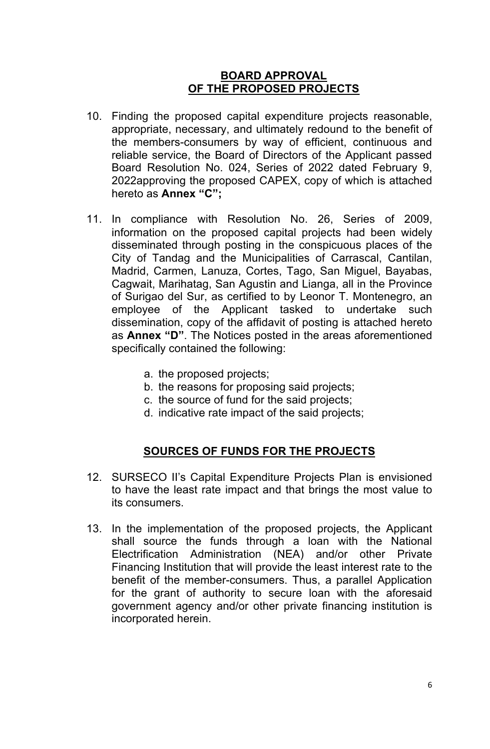#### **BOARD APPROVAL OF THE PROPOSED PROJECTS**

- 10. Finding the proposed capital expenditure projects reasonable, appropriate, necessary, and ultimately redound to the benefit of the members-consumers by way of efficient, continuous and reliable service, the Board of Directors of the Applicant passed Board Resolution No. 024, Series of 2022 dated February 9, 2022approving the proposed CAPEX, copy of which is attached hereto as **Annex "C";**
- 11. In compliance with Resolution No. 26, Series of 2009, information on the proposed capital projects had been widely disseminated through posting in the conspicuous places of the City of Tandag and the Municipalities of Carrascal, Cantilan, Madrid, Carmen, Lanuza, Cortes, Tago, San Miguel, Bayabas, Cagwait, Marihatag, San Agustin and Lianga, all in the Province of Surigao del Sur, as certified to by Leonor T. Montenegro, an employee of the Applicant tasked to undertake such dissemination, copy of the affidavit of posting is attached hereto as **Annex "D"**. The Notices posted in the areas aforementioned specifically contained the following:
	- a. the proposed projects;
	- b. the reasons for proposing said projects;
	- c. the source of fund for the said projects;
	- d. indicative rate impact of the said projects;

#### **SOURCES OF FUNDS FOR THE PROJECTS**

- 12. SURSECO II's Capital Expenditure Projects Plan is envisioned to have the least rate impact and that brings the most value to its consumers.
- 13. In the implementation of the proposed projects, the Applicant shall source the funds through a loan with the National Electrification Administration (NEA) and/or other Private Financing Institution that will provide the least interest rate to the benefit of the member-consumers. Thus, a parallel Application for the grant of authority to secure loan with the aforesaid government agency and/or other private financing institution is incorporated herein.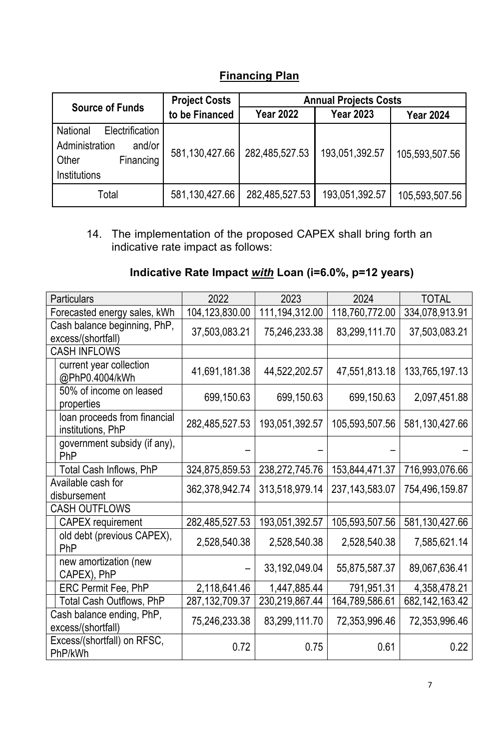**Financing Plan**

|                                                                                               | <b>Project Costs</b> | <b>Annual Projects Costs</b> |                  |                  |  |
|-----------------------------------------------------------------------------------------------|----------------------|------------------------------|------------------|------------------|--|
| <b>Source of Funds</b>                                                                        | to be Financed       | <b>Year 2022</b>             | <b>Year 2023</b> | <b>Year 2024</b> |  |
| Electrification<br>National<br>Administration<br>and/or<br>Financing<br>Other<br>Institutions | 581,130,427.66       | 282,485,527.53               | 193,051,392.57   | 105,593,507.56   |  |
| Total                                                                                         | 581,130,427.66       | 282,485,527.53               | 193,051,392.57   | 105,593,507.56   |  |

14. The implementation of the proposed CAPEX shall bring forth an indicative rate impact as follows:

## **Indicative Rate Impact** *with* **Loan (i=6.0%, p=12 years)**

| Particulars                                        | 2022              | 2023             | 2024              | <b>TOTAL</b>      |
|----------------------------------------------------|-------------------|------------------|-------------------|-------------------|
| Forecasted energy sales, kWh                       | 104,123,830.00    | 111, 194, 312.00 | 118,760,772.00    | 334,078,913.91    |
| Cash balance beginning, PhP,<br>excess/(shortfall) | 37,503,083.21     | 75,246,233.38    | 83,299,111.70     | 37,503,083.21     |
| <b>CASH INFLOWS</b>                                |                   |                  |                   |                   |
| current year collection<br>@PhP0.4004/kWh          | 41,691,181.38     | 44,522,202.57    | 47,551,813.18     | 133,765,197.13    |
| 50% of income on leased<br>properties              | 699,150.63        | 699,150.63       | 699,150.63        | 2,097,451.88      |
| loan proceeds from financial<br>institutions, PhP  | 282,485,527.53    | 193,051,392.57   | 105,593,507.56    | 581,130,427.66    |
| government subsidy (if any),<br>PhP                |                   |                  |                   |                   |
| Total Cash Inflows, PhP                            | 324,875,859.53    | 238,272,745.76   | 153,844,471.37    | 716,993,076.66    |
| Available cash for<br>disbursement                 | 362,378,942.74    | 313,518,979.14   | 237, 143, 583. 07 | 754,496,159.87    |
| <b>CASH OUTFLOWS</b>                               |                   |                  |                   |                   |
| <b>CAPEX</b> requirement                           | 282,485,527.53    | 193,051,392.57   | 105,593,507.56    | 581,130,427.66    |
| old debt (previous CAPEX),<br>PhP                  | 2,528,540.38      | 2,528,540.38     | 2,528,540.38      | 7,585,621.14      |
| new amortization (new<br>CAPEX), PhP               |                   | 33, 192, 049. 04 | 55,875,587.37     | 89,067,636.41     |
| ERC Permit Fee, PhP                                | 2,118,641.46      | 1,447,885.44     | 791,951.31        | 4,358,478.21      |
| <b>Total Cash Outflows, PhP</b>                    | 287, 132, 709. 37 | 230,219,867.44   | 164,789,586.61    | 682, 142, 163. 42 |
| Cash balance ending, PhP,<br>excess/(shortfall)    | 75,246,233.38     | 83,299,111.70    | 72,353,996.46     | 72,353,996.46     |
| Excess/(shortfall) on RFSC,<br>PhP/kWh             | 0.72              | 0.75             | 0.61              | 0.22              |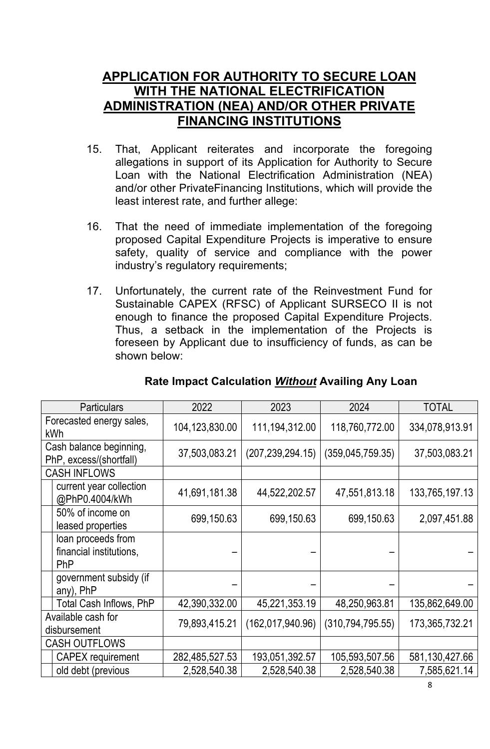## **APPLICATION FOR AUTHORITY TO SECURE LOAN WITH THE NATIONAL ELECTRIFICATION ADMINISTRATION (NEA) AND/OR OTHER PRIVATE FINANCING INSTITUTIONS**

- 15. That, Applicant reiterates and incorporate the foregoing allegations in support of its Application for Authority to Secure Loan with the National Electrification Administration (NEA) and/or other PrivateFinancing Institutions, which will provide the least interest rate, and further allege:
- 16. That the need of immediate implementation of the foregoing proposed Capital Expenditure Projects is imperative to ensure safety, quality of service and compliance with the power industry's regulatory requirements;
- 17. Unfortunately, the current rate of the Reinvestment Fund for Sustainable CAPEX (RFSC) of Applicant SURSECO II is not enough to finance the proposed Capital Expenditure Projects. Thus, a setback in the implementation of the Projects is foreseen by Applicant due to insufficiency of funds, as can be shown below:

| <b>Particulars</b>                                          | 2022           | 2023               | 2024               | <b>TOTAL</b>   |
|-------------------------------------------------------------|----------------|--------------------|--------------------|----------------|
| Forecasted energy sales,<br><b>kWh</b>                      | 104,123,830.00 | 111,194,312.00     | 118,760,772.00     | 334,078,913.91 |
| Cash balance beginning,<br>PhP, excess/(shortfall)          | 37,503,083.21  | (207, 239, 294.15) | (359, 045, 759.35) | 37,503,083.21  |
| <b>CASH INFLOWS</b>                                         |                |                    |                    |                |
| current year collection<br>@PhP0.4004/kWh                   | 41,691,181.38  | 44,522,202.57      | 47,551,813.18      | 133,765,197.13 |
| 50% of income on<br>leased properties                       | 699,150.63     | 699,150.63         | 699,150.63         | 2,097,451.88   |
| loan proceeds from<br>financial institutions,<br><b>PhP</b> |                |                    |                    |                |
| government subsidy (if<br>any), PhP                         |                |                    |                    |                |
| Total Cash Inflows, PhP                                     | 42,390,332.00  | 45,221,353.19      | 48,250,963.81      | 135,862,649.00 |
| Available cash for<br>disbursement                          | 79,893,415.21  | (162,017,940.96)   | (310, 794, 795.55) | 173,365,732.21 |
| <b>CASH OUTFLOWS</b>                                        |                |                    |                    |                |
| <b>CAPEX</b> requirement                                    | 282,485,527.53 | 193,051,392.57     | 105,593,507.56     | 581,130,427.66 |
| old debt (previous                                          | 2,528,540.38   | 2,528,540.38       | 2,528,540.38       | 7,585,621.14   |

## **Rate Impact Calculation** *Without* **Availing Any Loan**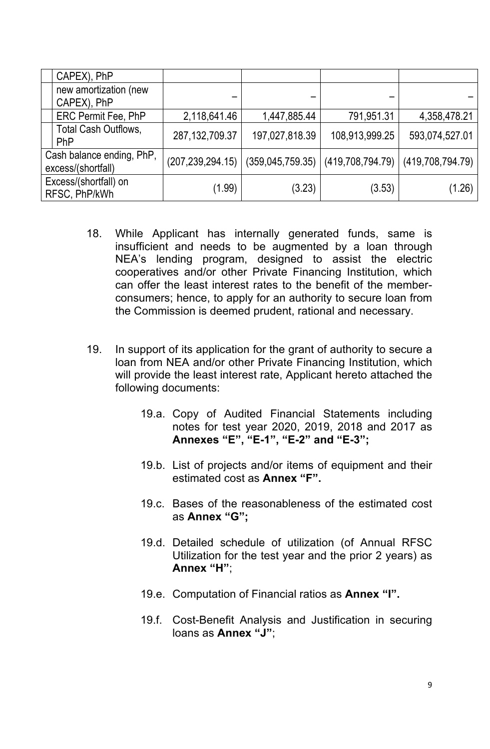|                                                 | CAPEX), PhP                          |                    |                  |                  |                  |
|-------------------------------------------------|--------------------------------------|--------------------|------------------|------------------|------------------|
|                                                 | new amortization (new<br>CAPEX), PhP |                    |                  |                  |                  |
|                                                 | <b>ERC Permit Fee, PhP</b>           | 2,118,641.46       | 1,447,885.44     | 791,951.31       | 4,358,478.21     |
|                                                 | Total Cash Outflows,<br>PhP          | 287, 132, 709. 37  | 197,027,818.39   | 108,913,999.25   | 593,074,527.01   |
| Cash balance ending, PhP,<br>excess/(shortfall) |                                      | (207, 239, 294.15) | (359,045,759.35) | (419,708,794.79) | (419,708,794.79) |
| Excess/(shortfall) on<br>RFSC, PhP/kWh          |                                      | (1.99)             | (3.23)           | (3.53)           | (1.26)           |

- 18. While Applicant has internally generated funds, same is insufficient and needs to be augmented by a loan through NEA's lending program, designed to assist the electric cooperatives and/or other Private Financing Institution, which can offer the least interest rates to the benefit of the memberconsumers; hence, to apply for an authority to secure loan from the Commission is deemed prudent, rational and necessary.
- 19. In support of its application for the grant of authority to secure a loan from NEA and/or other Private Financing Institution, which will provide the least interest rate, Applicant hereto attached the following documents:
	- 19.a. Copy of Audited Financial Statements including notes for test year 2020, 2019, 2018 and 2017 as **Annexes "E", "E-1", "E-2" and "E-3";**
	- 19.b. List of projects and/or items of equipment and their estimated cost as **Annex "F".**
	- 19.c. Bases of the reasonableness of the estimated cost as **Annex "G";**
	- 19.d. Detailed schedule of utilization (of Annual RFSC Utilization for the test year and the prior 2 years) as **Annex "H"**;
	- 19.e. Computation of Financial ratios as **Annex "I".**
	- 19.f. Cost-Benefit Analysis and Justification in securing loans as **Annex "J"**;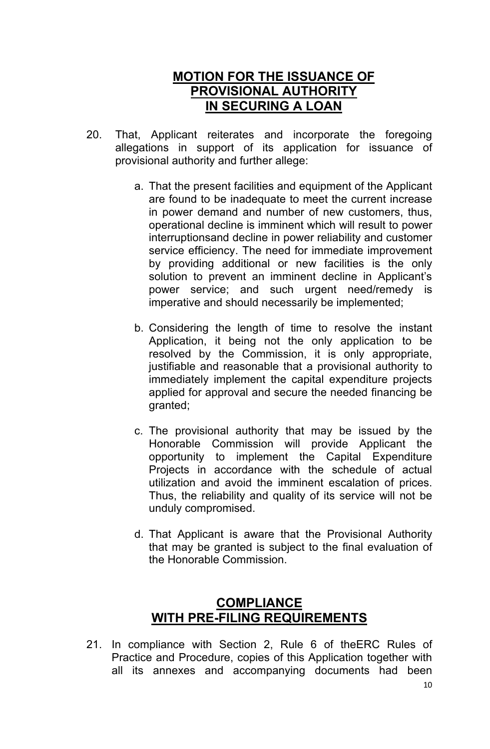## **MOTION FOR THE ISSUANCE OF PROVISIONAL AUTHORITY IN SECURING A LOAN**

- 20. That, Applicant reiterates and incorporate the foregoing allegations in support of its application for issuance of provisional authority and further allege:
	- a. That the present facilities and equipment of the Applicant are found to be inadequate to meet the current increase in power demand and number of new customers, thus, operational decline is imminent which will result to power interruptionsand decline in power reliability and customer service efficiency. The need for immediate improvement by providing additional or new facilities is the only solution to prevent an imminent decline in Applicant's power service; and such urgent need/remedy is imperative and should necessarily be implemented;
	- b. Considering the length of time to resolve the instant Application, it being not the only application to be resolved by the Commission, it is only appropriate, justifiable and reasonable that a provisional authority to immediately implement the capital expenditure projects applied for approval and secure the needed financing be granted;
	- c. The provisional authority that may be issued by the Honorable Commission will provide Applicant the opportunity to implement the Capital Expenditure Projects in accordance with the schedule of actual utilization and avoid the imminent escalation of prices. Thus, the reliability and quality of its service will not be unduly compromised.
	- d. That Applicant is aware that the Provisional Authority that may be granted is subject to the final evaluation of the Honorable Commission.

## **COMPLIANCE WITH PRE-FILING REQUIREMENTS**

21. In compliance with Section 2, Rule 6 of theERC Rules of Practice and Procedure, copies of this Application together with all its annexes and accompanying documents had been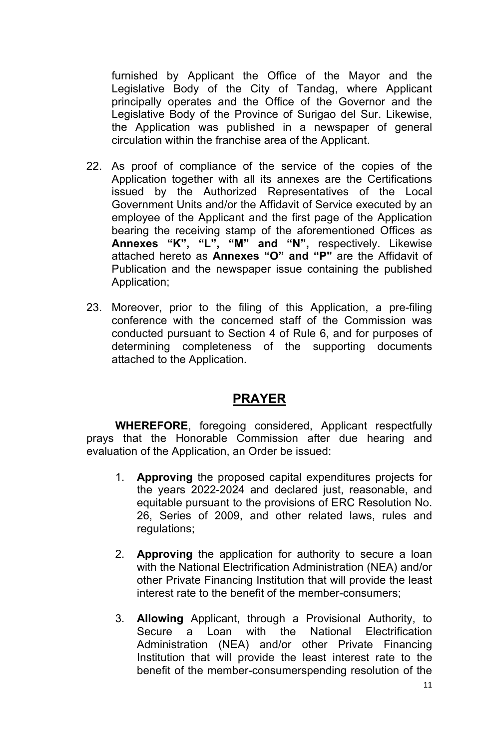furnished by Applicant the Office of the Mayor and the Legislative Body of the City of Tandag, where Applicant principally operates and the Office of the Governor and the Legislative Body of the Province of Surigao del Sur. Likewise, the Application was published in a newspaper of general circulation within the franchise area of the Applicant.

- 22. As proof of compliance of the service of the copies of the Application together with all its annexes are the Certifications issued by the Authorized Representatives of the Local Government Units and/or the Affidavit of Service executed by an employee of the Applicant and the first page of the Application bearing the receiving stamp of the aforementioned Offices as **Annexes "K", "L", "M" and "N",** respectively. Likewise attached hereto as **Annexes "O" and "P"** are the Affidavit of Publication and the newspaper issue containing the published Application;
- 23. Moreover, prior to the filing of this Application, a pre-filing conference with the concerned staff of the Commission was conducted pursuant to Section 4 of Rule 6, and for purposes of determining completeness of the supporting documents attached to the Application.

## **PRAYER**

**WHEREFORE**, foregoing considered, Applicant respectfully prays that the Honorable Commission after due hearing and evaluation of the Application, an Order be issued:

- 1. **Approving** the proposed capital expenditures projects for the years 2022-2024 and declared just, reasonable, and equitable pursuant to the provisions of ERC Resolution No. 26, Series of 2009, and other related laws, rules and regulations;
- 2. **Approving** the application for authority to secure a loan with the National Electrification Administration (NEA) and/or other Private Financing Institution that will provide the least interest rate to the benefit of the member-consumers;
- 3. **Allowing** Applicant, through a Provisional Authority, to Secure a Loan with the National Electrification Administration (NEA) and/or other Private Financing Institution that will provide the least interest rate to the benefit of the member-consumerspending resolution of the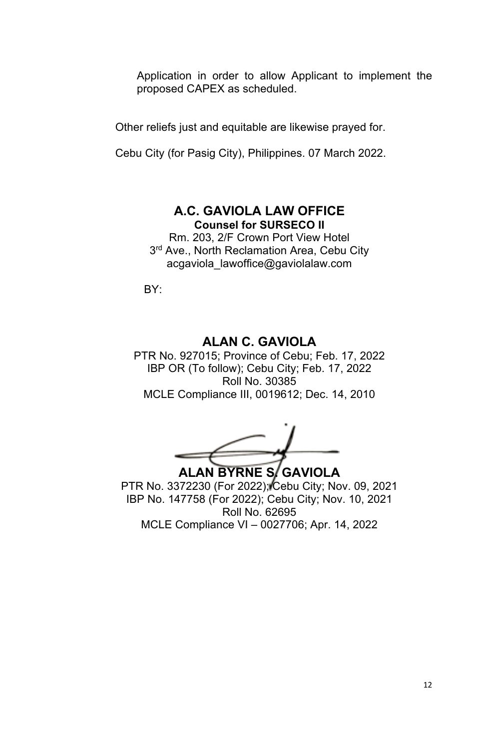Application in order to allow Applicant to implement the proposed CAPEX as scheduled.

Other reliefs just and equitable are likewise prayed for.

Cebu City (for Pasig City), Philippines. 07 March 2022.

### **A.C. GAVIOLA LAW OFFICE Counsel for SURSECO II**

Rm. 203, 2/F Crown Port View Hotel 3<sup>rd</sup> Ave., North Reclamation Area, Cebu City acgaviola\_lawoffice@gaviolalaw.com

BY:

## **ALAN C. GAVIOLA**

PTR No. 927015; Province of Cebu; Feb. 17, 2022 IBP OR (To follow); Cebu City; Feb. 17, 2022 Roll No. 30385 MCLE Compliance III, 0019612; Dec. 14, 2010

**ALAN BYRNE S. GAVIOLA**

PTR No. 3372230 (For 2022); Cebu City; Nov. 09, 2021 IBP No. 147758 (For 2022); Cebu City; Nov. 10, 2021 Roll No. 62695 MCLE Compliance VI – 0027706; Apr. 14, 2022